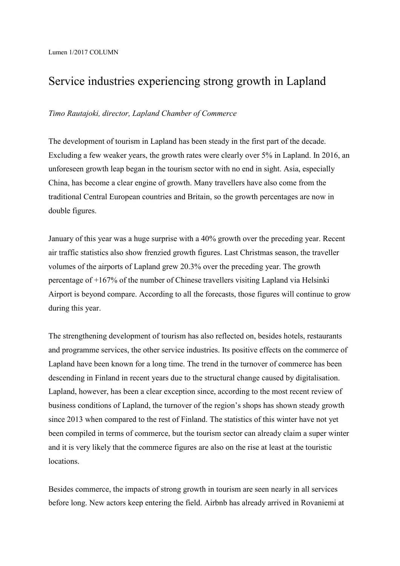## Service industries experiencing strong growth in Lapland

## *Timo Rautajoki, director, Lapland Chamber of Commerce*

The development of tourism in Lapland has been steady in the first part of the decade. Excluding a few weaker years, the growth rates were clearly over 5% in Lapland. In 2016, an unforeseen growth leap began in the tourism sector with no end in sight. Asia, especially China, has become a clear engine of growth. Many travellers have also come from the traditional Central European countries and Britain, so the growth percentages are now in double figures.

January of this year was a huge surprise with a 40% growth over the preceding year. Recent air traffic statistics also show frenzied growth figures. Last Christmas season, the traveller volumes of the airports of Lapland grew 20.3% over the preceding year. The growth percentage of +167% of the number of Chinese travellers visiting Lapland via Helsinki Airport is beyond compare. According to all the forecasts, those figures will continue to grow during this year.

The strengthening development of tourism has also reflected on, besides hotels, restaurants and programme services, the other service industries. Its positive effects on the commerce of Lapland have been known for a long time. The trend in the turnover of commerce has been descending in Finland in recent years due to the structural change caused by digitalisation. Lapland, however, has been a clear exception since, according to the most recent review of business conditions of Lapland, the turnover of the region's shops has shown steady growth since 2013 when compared to the rest of Finland. The statistics of this winter have not yet been compiled in terms of commerce, but the tourism sector can already claim a super winter and it is very likely that the commerce figures are also on the rise at least at the touristic locations.

Besides commerce, the impacts of strong growth in tourism are seen nearly in all services before long. New actors keep entering the field. Airbnb has already arrived in Rovaniemi at